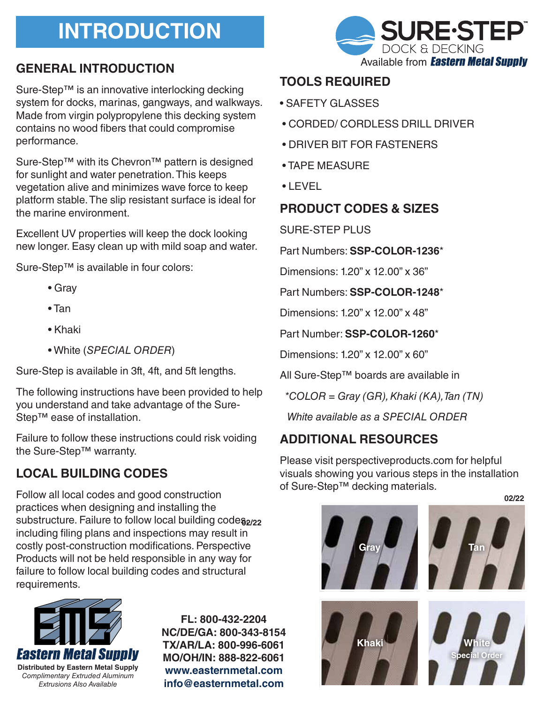# **INTRODUCTION**

# **GENERAL INTRODUCTION**

Sure-Step™ is an innovative interlocking decking system for docks, marinas, gangways, and walkways. Made from virgin polypropylene this decking system contains no wood fibers that could compromise performance.

Sure-Step™ with its Chevron<sup>™</sup> pattern is designed for sunlight and water penetration. This keeps vegetation alive and minimizes wave force to keep platform stable. The slip resistant surface is ideal for the marine environment.

Excellent UV properties will keep the dock looking new longer. Easy clean up with mild soap and water.

Sure-Step™ is available in four colors:

- Gray
- Tan
- Khaki
- White (SPECIAL ORDER)

Sure-Step is available in 3ft, 4ft, and 5ft lengths.

The following instructions have been provided to help you understand and take advantage of the Sure-Step™ ease of installation.

Failure to follow these instructions could risk voiding the Sure-Step™ warranty.

# **LOCAL BUILDING CODES**

Follow all local codes and good construction practices when designing and installing the substructure. Failure to follow local building code<sup>32/22</sup> including filing plans and inspections may result in costly post-construction modifications. Perspective Products will not be held responsible in any way for failure to follow local building codes and structural requirements.



**FL: 800-432-2204 NC/DE/GA: 800-343-8154 TX/AR/LA: 800-996-6061 MO/OH/IN: 888-822-6061 www.easternmetal.com info@easternmetal.com**



#### **TOOLS REQUIRED**

- SAFETY GLASSES
- CORDED/ CORDLESS DRILL DRIVER
- DRIVER BIT FOR FASTENERS
- TAPE MEASURE
- LEVEL

#### **PRODUCT CODES & SIZES**

SURE-STEP PLUS

Part Numbers: **SSP-COLOR-1236**\*

Dimensions: 1.20" x 12.00" x 36"

Part Numbers: **SSP-COLOR-1248**\*

Dimensions: 1.20" x 12.00" x 48"

Part Number: **SSP-COLOR-1260**\*

Dimensions: 1.20" x 12.00" x 60"

All Sure-Step™ boards are available in

 $*COLOR = Gray (GR)$ , Khaki (KA), Tan (TN)

White available as a SPECIAL ORDER

### **ADDITIONAL RESOURCES**

Please visit perspectiveproducts.com for helpful visuals showing you various steps in the installation of Sure-Step™ decking materials.

**02/22**